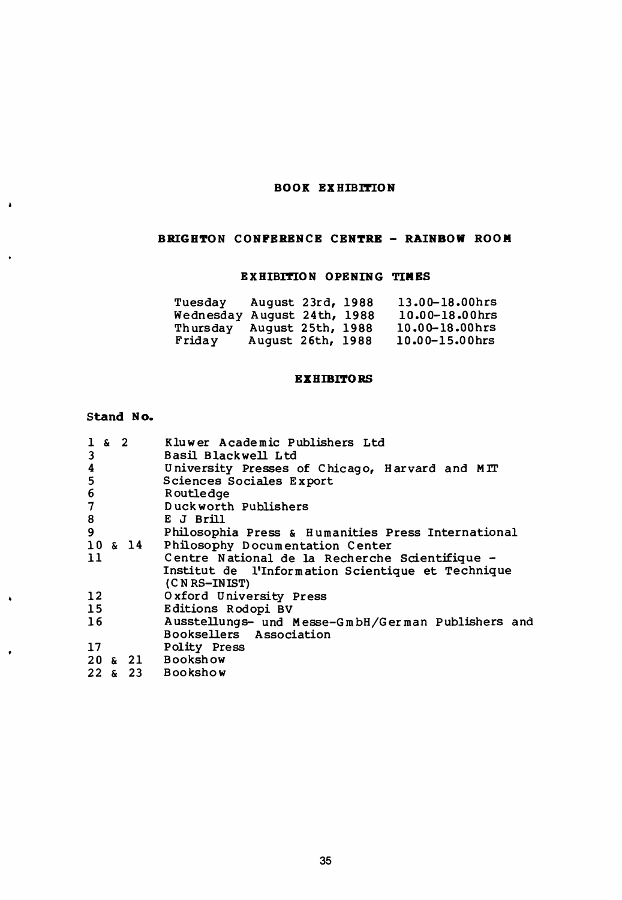# BOOK EXHIBITION

# BRIGHTON CONFERENCE CENTRE - RAINBOW ROOM

# EXHIBITION OPENING TIMES

| Tuesdav   | August 23rd, 1988 |  | 13.00-18.00hrs |
|-----------|-------------------|--|----------------|
| Wednesday | August 24th, 1988 |  | 10.00-18.00hrs |
| Thursday  | August 25th, 1988 |  | 10.00-18.00hrs |
| Friday    | August 26th, 1988 |  | 10.00-15.00hrs |

# **EXHIBITORS**

## Stand No.

 $\bullet$ 

 $\ddot{\phantom{0}}$ 

 $\bullet$ 

 $\bullet$ 

| $1 \times 2$<br>3        |  | Kluwer Academic Publishers Ltd<br>Basil Blackwell Ltd |
|--------------------------|--|-------------------------------------------------------|
|                          |  |                                                       |
| 4                        |  | University Presses of Chicago, Harvard and MIT        |
| 5                        |  | Sciences Sociales Export                              |
| 6                        |  | Routledge                                             |
| $\overline{\phantom{a}}$ |  | Duckworth Publishers                                  |
| 8                        |  | E J Brill                                             |
| 9                        |  | Philosophia Press & Humanities Press International    |
|                          |  | 10 & 14 Philosophy Documentation Center               |
| 11                       |  | Centre National de la Recherche Scientifique -        |
|                          |  | Institut de l'Information Scientique et Technique     |
|                          |  | (CNRS-INIST)                                          |
| 12                       |  | Oxford University Press                               |
| 15 <sub>1</sub>          |  | Editions Rodopi BV                                    |
| 16                       |  | Ausstellungs- und Messe-GmbH/German Publishers and    |
|                          |  | Booksellers Association                               |
| 17                       |  | Polity Press                                          |
|                          |  | 20 & 21 Bookshow                                      |
|                          |  | 22 & 23 Bookshow                                      |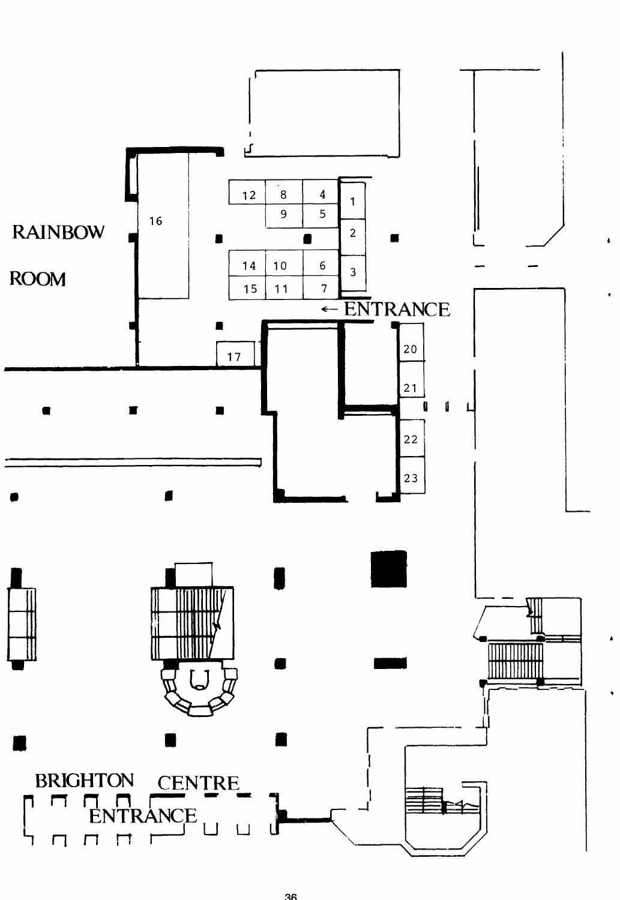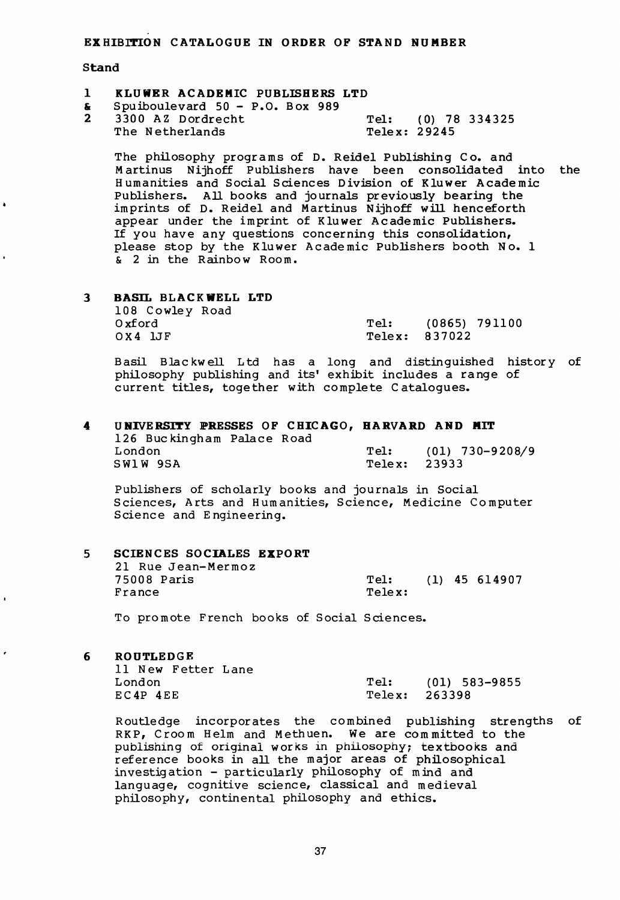EXHIBITION CATALOGUE IN ORDER OF STAND NUMBER

### **Stand**

- 1 KLUWER ACADEMIC PUBLISHERS LTD
- $\frac{1}{2}$  Spuiboulevard 50 P.O. Box 989
- 3300 AZ Dordrecht Tel: (0) 78 334325<br>The Netherlands Telex: 29245 The Netherlands

The philosophy programs of D. Reidel Publishing Co. and Martinus Nijhoff Publishers have been consolidated into the Humanities and Social Sciences Division of Kluwer Academic Publishers. All books and journals previously bearing the imprints of D. Reidel and Martinus Nijhoff will henceforth appear under the imprint of Kluwer Academic Publishers. If you have any questions concerning this consolidation, please stop by the Kluwer Academic Publishers booth No. 1  $\overline{\textbf{a}}$  2 in the Rainbow Room.

3 BASIL BLACKWELL LTD 108 Cowley Road Oxfor d Tel : (0865) 79110 0 0 X 4 1JF Telex: 837022

Basil Blackwell Ltd has a long and distinguished history of philosophy publishing and its' exhibit includes a range of current titles, together with complete Catalogues.

### 4 UNIVERSITY PRESSES OF CHICAGO, HARVARD AND MIT 126 Buckingham Palace Road<br>London Tel: (01) 730-9208/9<br>Telex: 23933  $SW1W$  9SA

Publishers of scholarly books and journals in Social Sciences, Arts and Humanities, Science, Medicine Computer Science and Engineering.

| Б. | SCIENCES SOCIALES EXPORT |        |  |                 |
|----|--------------------------|--------|--|-----------------|
|    | 21 Rue Jean-Mermoz       |        |  |                 |
|    | 75008 Paris              | Tel:   |  | $(1)$ 45 614907 |
|    | France                   | Telex: |  |                 |
|    |                          |        |  |                 |

To promote French books of Social Sciences.

6 ROUTLEDGE

| ll New Fetter Lane |      |               |
|--------------------|------|---------------|
| London             | Tel: | (01) 583-9855 |
| EC4P 4EE           |      | Telex: 263398 |

Routledge incorporates the combined publishing strengths of RKP, Croom Helm and Methuen. We are committed to the publishing of original works in philosophy; textbooks and reference books in all the major areas of philosophical investigation - particularly philosophy of mind and language, cognitive science, classical and medieval philosophy, continental philosophy and ethics.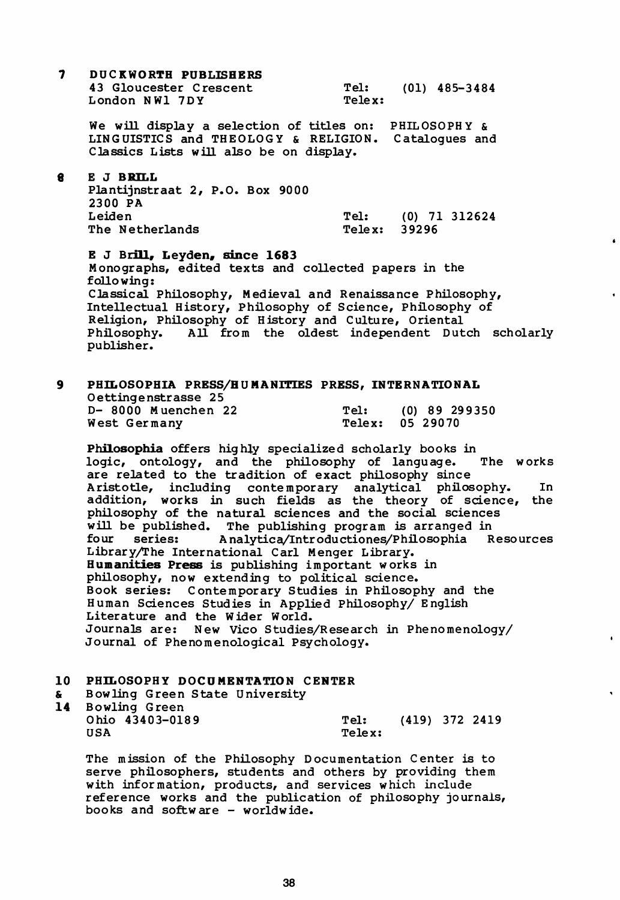$\overline{\mathbf{z}}$ DUCKWORTH PUBLISHERS 43 Gloucester Crescent London NW1 7DY

Tel: (01) 485-3484 Telex:

We will display a selection of titles on: PHILOSOPHY & LINGUISTICS and THEOLOGY & RELIGION. Catalogues and Classics Lists will also be on display.

#### 8 E J BRILL

| Plantijnstraat 2, P.O. Box 9000 |                       |  |
|---------------------------------|-----------------------|--|
| 2300 PA                         |                       |  |
| Leiden                          | (0) 71 312624<br>Tel: |  |
| The Netherlands                 | Telex: 39296          |  |

E J Brill, Leyden, since 1683 Monographs, edited texts and collected papers in the following: Classical Philosophy, Medieval and Renaissance Philosophy, Intellectual History, Philosophy of Science, Philosophy of Religion, Philosophy of History and Culture, Oriental Philosophy. All from the oldest independent Dutch scholarly publisher.

#### PHILOSOPHIA PRESS/HUMANITIES PRESS, INTERNATIONAL  $\mathbf{9}$ Oettingenstrasse 25 D- 8000 Muenchen 22 Tel:  $(0)$  89 299350 West Germany Telex: 05 29070

Philosophia offers highly specialized scholarly books in logic, ontology, and the philosophy of language. The works are related to the tradition of exact philosophy since Aristotle, including contemporary analytical philosophy. In addition, works in such fields as the theory of science, the philosophy of the natural sciences and the social sciences will be published. The publishing program is arranged in Analytica/Introductiones/Philosophia four series: Resources Library/The International Carl Menger Library. Humanities Press is publishing important works in philosophy, now extending to political science. Book series: Contemporary Studies in Philosophy and the Human Sciences Studies in Applied Philosophy/ English Literature and the Wider World. Journals are: New Vico Studies/Research in Phenomenology/ Journal of Phenomenological Psychology.

# 10 PHILOSOPHY DOCUMENTATION CENTER

| &. | Bowling Green State University |        |                |  |
|----|--------------------------------|--------|----------------|--|
|    | 14 Bowling Green               |        |                |  |
|    | Ohio 43403-0189                | Tel:   | (419) 372 2419 |  |
|    | USA                            | Telex: |                |  |

The mission of the Philosophy Documentation Center is to serve philosophers, students and others by providing them with information, products, and services which include reference works and the publication of philosophy journals, books and software - worldwide.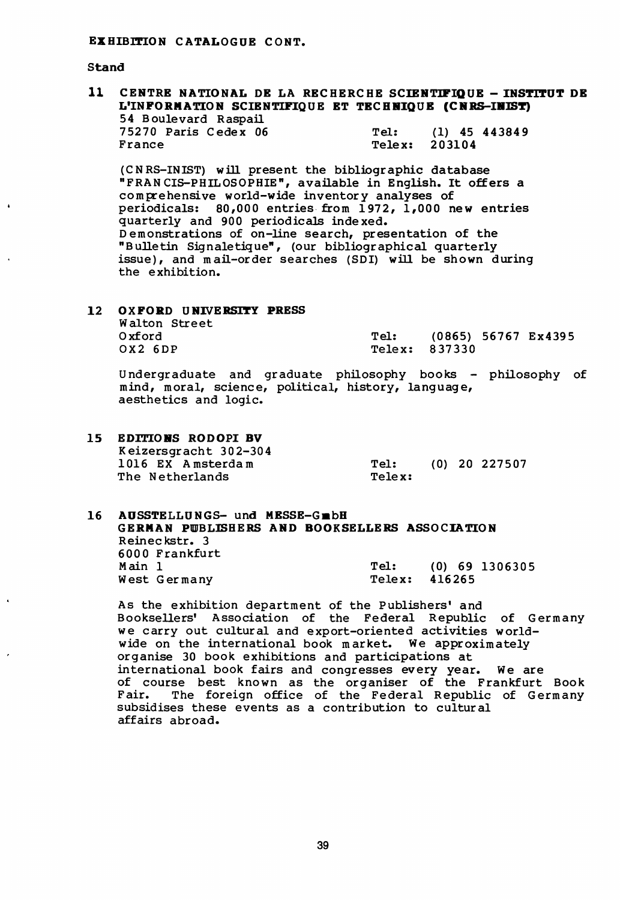Stand

#### $11$ CENTRE NATIONAL DE LA RECHERCHE SCIENTIFIQUE - INSTITUT DE L'INFORMATION SCIENTIFIOUE ET TECHNIOUE (CNRS-INIST) 54 Boulevard Raspail 75270 Paris Cedex 06  $(1)$  45 443849 Tel: France Telex: 203104

(CNRS-INIST) will present the bibliographic database "FRANCIS-PHILOSOPHIE", available in English. It offers a comprehensive world-wide inventory analyses of periodicals: 80,000 entries from 1972, 1,000 new entries quarterly and 900 periodicals indexed. Demonstrations of on-line search, presentation of the "Bulletin Signaletique", (our bibliographical quarterly issue), and mail-order searches (SDI) will be shown during the exhibition.

#### $12<sup>7</sup>$ **OXFORD UNIVERSITY PRESS** Walton Street Oxford Tel: (0865) 56767 Ex4395  $0x2$  6DP Telex: 837330

Undergraduate and graduate philosophy books - philosophy of mind, moral, science, political, history, language, aesthetics and logic.

15 EDITIONS RODOPI BV Keizersgracht 302-304 1016 EX Amsterdam Tel: (0) 20 227507 The Netherlands Telex:

#### AUSSTELLUNGS- und MESSE-GmbH  $16<sup>1</sup>$ GERMAN PUBLISHERS AND BOOKSELLERS ASSOCIATION Reineckstr. 3 6000 Frankfurt Main 1  $Tel:$  $(0)$  69 1306305 Telex: West Germany 416265

As the exhibition department of the Publishers' and Booksellers' Association of the Federal Republic of Germany we carry out cultural and export-oriented activities worldwide on the international book market. We approximately organise 30 book exhibitions and participations at international book fairs and congresses every year. We are<br>of course best known as the organiser of the Frankfurt Book Fair. The foreign office of the Federal Republic of Germany subsidises these events as a contribution to cultural affairs abroad.